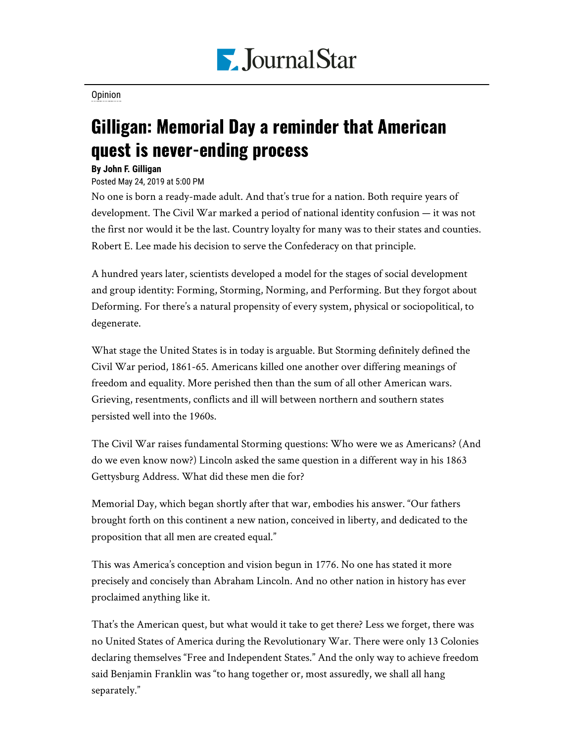

[Opinion](https://www.pjstar.com/search?text=Opinion)

## Gilligan: Memorial Day a reminder that American quest is never-ending process

## **By John F. Gilligan**

## Posted May 24, 2019 at 5:00 PM

No one is born a ready-made adult. And that's true for a nation. Both require years of development. The Civil War marked a period of national identity confusion — it was not the first nor would it be the last. Country loyalty for many was to their states and counties. Robert E. Lee made his decision to serve the Confederacy on that principle.

A hundred years later, scientists developed a model for the stages of social development and group identity: Forming, Storming, Norming, and Performing. But they forgot about Deforming. For there's a natural propensity of every system, physical or sociopolitical, to degenerate.

What stage the United States is in today is arguable. But Storming definitely defined the Civil War period, 1861-65. Americans killed one another over differing meanings of freedom and equality. More perished then than the sum of all other American wars. Grieving, resentments, conflicts and ill will between northern and southern states persisted well into the 1960s.

The Civil War raises fundamental Storming questions: Who were we as Americans? (And do we even know now?) Lincoln asked the same question in a different way in his 1863 Gettysburg Address. What did these men die for?

Memorial Day, which began shortly after that war, embodies his answer. "Our fathers brought forth on this continent a new nation, conceived in liberty, and dedicated to the proposition that all men are created equal."

This was America's conception and vision begun in 1776. No one has stated it more precisely and concisely than Abraham Lincoln. And no other nation in history has ever proclaimed anything like it.

That's the American quest, but what would it take to get there? Less we forget, there was no United States of America during the Revolutionary War. There were only 13 Colonies declaring themselves "Free and Independent States." And the only way to achieve freedom said Benjamin Franklin was "to hang together or, most assuredly, we shall all hang separately."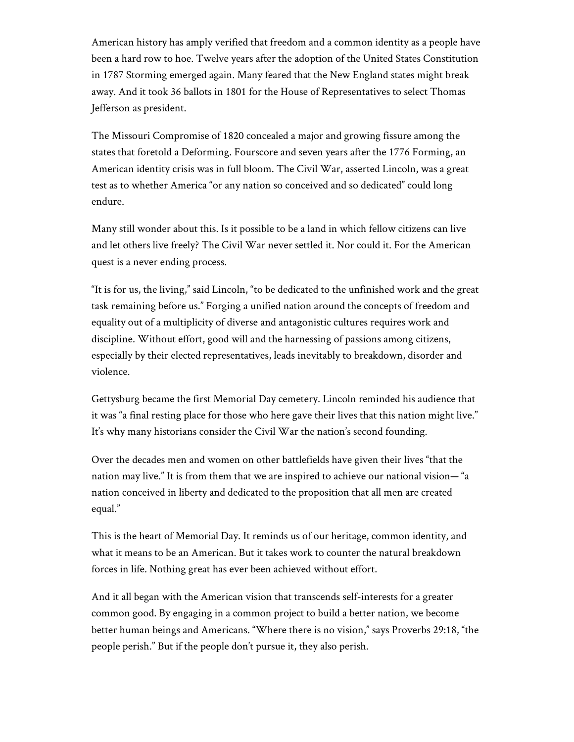American history has amply verified that freedom and a common identity as a people have been a hard row to hoe. Twelve years after the adoption of the United States Constitution in 1787 Storming emerged again. Many feared that the New England states might break away. And it took 36 ballots in 1801 for the House of Representatives to select Thomas Jefferson as president.

The Missouri Compromise of 1820 concealed a major and growing fissure among the states that foretold a Deforming. Fourscore and seven years after the 1776 Forming, an American identity crisis was in full bloom. The Civil War, asserted Lincoln, was a great test as to whether America "or any nation so conceived and so dedicated" could long endure.

Many still wonder about this. Is it possible to be a land in which fellow citizens can live and let others live freely? The Civil War never settled it. Nor could it. For the American quest is a never ending process.

"It is for us, the living," said Lincoln, "to be dedicated to the unfinished work and the great task remaining before us." Forging a unified nation around the concepts of freedom and equality out of a multiplicity of diverse and antagonistic cultures requires work and discipline. Without effort, good will and the harnessing of passions among citizens, especially by their elected representatives, leads inevitably to breakdown, disorder and violence.

Gettysburg became the first Memorial Day cemetery. Lincoln reminded his audience that it was "a final resting place for those who here gave their lives that this nation might live." It's why many historians consider the Civil War the nation's second founding.

Over the decades men and women on other battlefields have given their lives "that the nation may live." It is from them that we are inspired to achieve our national vision— "a nation conceived in liberty and dedicated to the proposition that all men are created equal."

This is the heart of Memorial Day. It reminds us of our heritage, common identity, and what it means to be an American. But it takes work to counter the natural breakdown forces in life. Nothing great has ever been achieved without effort.

And it all began with the American vision that transcends self-interests for a greater common good. By engaging in a common project to build a better nation, we become better human beings and Americans. "Where there is no vision," says Proverbs 29:18, "the people perish." But if the people don't pursue it, they also perish.